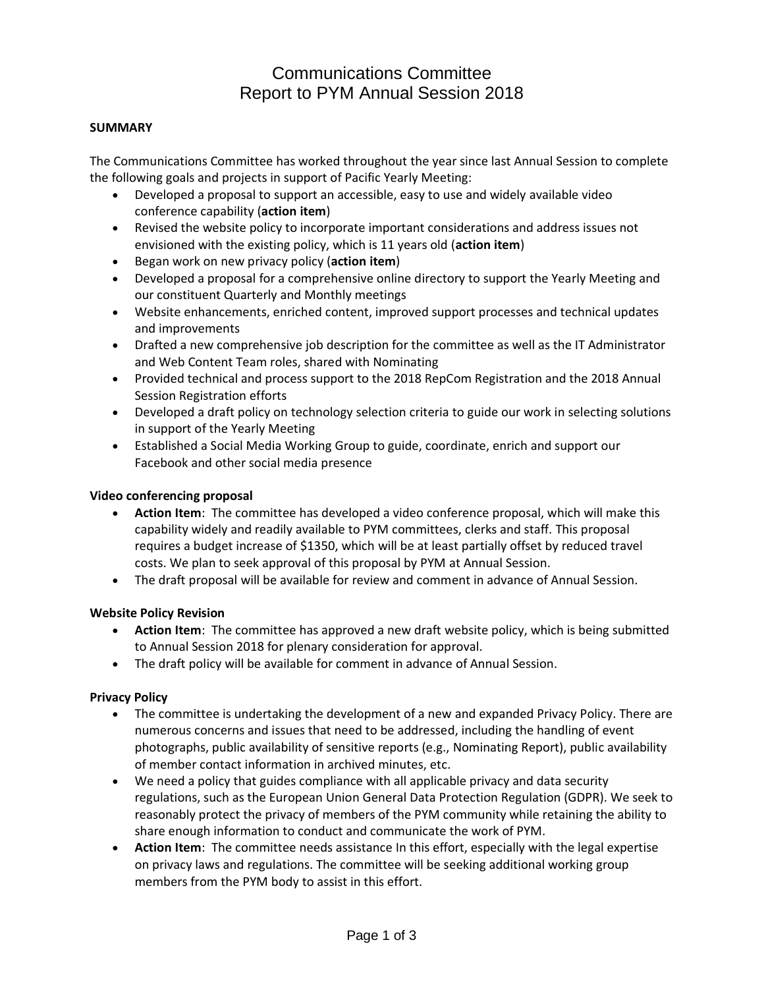## Communications Committee Report to PYM Annual Session 2018

#### **SUMMARY**

The Communications Committee has worked throughout the year since last Annual Session to complete the following goals and projects in support of Pacific Yearly Meeting:

- Developed a proposal to support an accessible, easy to use and widely available video conference capability (**action item**)
- Revised the website policy to incorporate important considerations and address issues not envisioned with the existing policy, which is 11 years old (**action item**)
- Began work on new privacy policy (**action item**)
- Developed a proposal for a comprehensive online directory to support the Yearly Meeting and our constituent Quarterly and Monthly meetings
- Website enhancements, enriched content, improved support processes and technical updates and improvements
- Drafted a new comprehensive job description for the committee as well as the IT Administrator and Web Content Team roles, shared with Nominating
- Provided technical and process support to the 2018 RepCom Registration and the 2018 Annual Session Registration efforts
- Developed a draft policy on technology selection criteria to guide our work in selecting solutions in support of the Yearly Meeting
- Established a Social Media Working Group to guide, coordinate, enrich and support our Facebook and other social media presence

#### **Video conferencing proposal**

- **Action Item**: The committee has developed a video conference proposal, which will make this capability widely and readily available to PYM committees, clerks and staff. This proposal requires a budget increase of \$1350, which will be at least partially offset by reduced travel costs. We plan to seek approval of this proposal by PYM at Annual Session.
- The draft proposal will be available for review and comment in advance of Annual Session.

### **Website Policy Revision**

- **Action Item**: The committee has approved a new draft website policy, which is being submitted to Annual Session 2018 for plenary consideration for approval.
- The draft policy will be available for comment in advance of Annual Session.

### **Privacy Policy**

- The committee is undertaking the development of a new and expanded Privacy Policy. There are numerous concerns and issues that need to be addressed, including the handling of event photographs, public availability of sensitive reports (e.g., Nominating Report), public availability of member contact information in archived minutes, etc.
- We need a policy that guides compliance with all applicable privacy and data security regulations, such as the European Union General Data Protection Regulation (GDPR). We seek to reasonably protect the privacy of members of the PYM community while retaining the ability to share enough information to conduct and communicate the work of PYM.
- **Action Item**: The committee needs assistance In this effort, especially with the legal expertise on privacy laws and regulations. The committee will be seeking additional working group members from the PYM body to assist in this effort.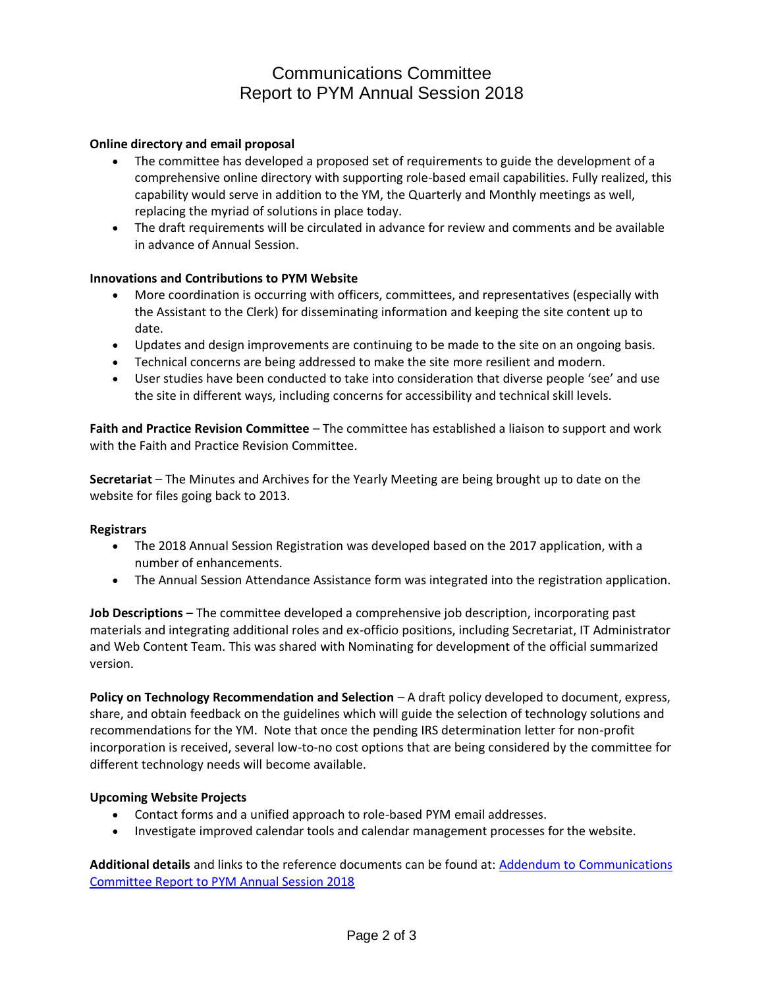# Communications Committee Report to PYM Annual Session 2018

### **Online directory and email proposal**

- The committee has developed a proposed set of requirements to guide the development of a comprehensive online directory with supporting role-based email capabilities. Fully realized, this capability would serve in addition to the YM, the Quarterly and Monthly meetings as well, replacing the myriad of solutions in place today.
- The draft requirements will be circulated in advance for review and comments and be available in advance of Annual Session.

### **Innovations and Contributions to PYM Website**

- More coordination is occurring with officers, committees, and representatives (especially with the Assistant to the Clerk) for disseminating information and keeping the site content up to date.
- Updates and design improvements are continuing to be made to the site on an ongoing basis.
- Technical concerns are being addressed to make the site more resilient and modern.
- User studies have been conducted to take into consideration that diverse people 'see' and use the site in different ways, including concerns for accessibility and technical skill levels.

**Faith and Practice Revision Committee** – The committee has established a liaison to support and work with the Faith and Practice Revision Committee.

**Secretariat** – The Minutes and Archives for the Yearly Meeting are being brought up to date on the website for files going back to 2013.

### **Registrars**

- The 2018 Annual Session Registration was developed based on the 2017 application, with a number of enhancements.
- The Annual Session Attendance Assistance form was integrated into the registration application.

**Job Descriptions** – The committee developed a comprehensive job description, incorporating past materials and integrating additional roles and ex-officio positions, including Secretariat, IT Administrator and Web Content Team. This was shared with Nominating for development of the official summarized version.

**Policy on Technology Recommendation and Selection** – A draft policy developed to document, express, share, and obtain feedback on the guidelines which will guide the selection of technology solutions and recommendations for the YM. Note that once the pending IRS determination letter for non-profit incorporation is received, several low-to-no cost options that are being considered by the committee for different technology needs will become available.

### **Upcoming Website Projects**

- Contact forms and a unified approach to role-based PYM email addresses.
- Investigate improved calendar tools and calendar management processes for the website.

**Additional details** and links to the reference documents can be found at: [Addendum to Communications](https://docs.google.com/document/d/1Fvg9oBg-nNeqdNWo_mv_iMAuJpyh0wxwfRTb4ND3ZUU/edit?usp=sharing)  [Committee Report to PYM Annual Session 2018](https://docs.google.com/document/d/1Fvg9oBg-nNeqdNWo_mv_iMAuJpyh0wxwfRTb4ND3ZUU/edit?usp=sharing)